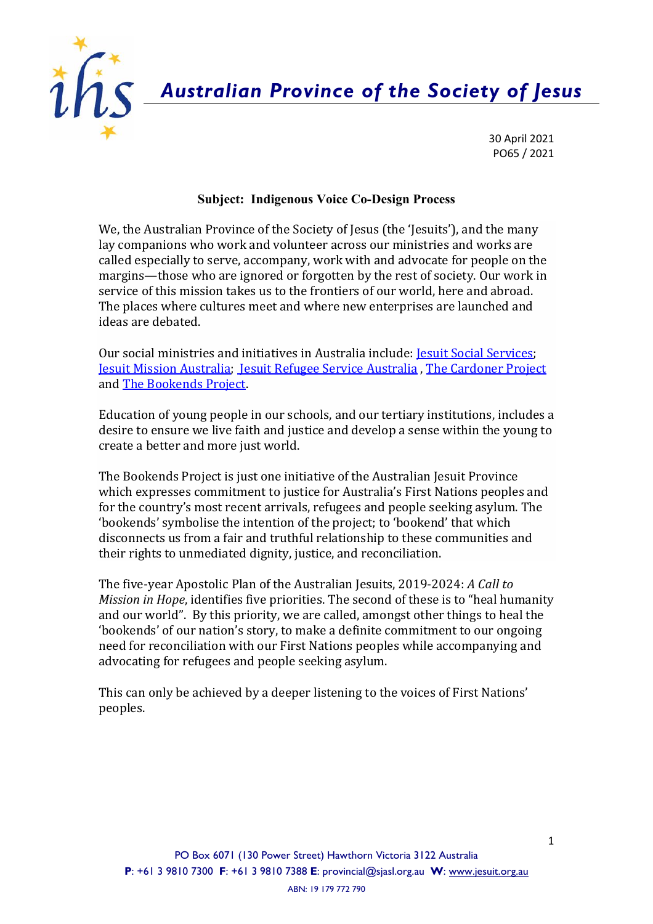

*Australian Province of the Society of Jesus*

30 April 2021 PO65 / 2021

## **Subject: Indigenous Voice Co-Design Process**

We, the Australian Province of the Society of Jesus (the 'Jesuits'), and the many lay companions who work and volunteer across our ministries and works are called especially to serve, accompany, work with and advocate for people on the margins—those who are ignored or forgotten by the rest of society. Our work in service of this mission takes us to the frontiers of our world, here and abroad. The places where cultures meet and where new enterprises are launched and ideas are debated.

Our social ministries and initiatives in Australia include: Jesuit Social [Services;](https://jss.org.au/) Jesuit [Mission](https://jesuitmission.org.au/) Australia; Jesuit [Refugee](https://aus.jrs.net/en/jesuit-refugee-service/) Service Australia , The [Cardoner](https://www.thecardonerproject.org/) Project and [The Bookends Project.](https://jesuit.org.au/initiatives/the-bookends-project/)

Education of young people in our schools, and our tertiary institutions, includes a desire to ensure we live faith and justice and develop a sense within the young to create a better and more just world.

The Bookends Project is just one initiative of the Australian Jesuit Province which expresses commitment to justice for Australia's First Nations peoples and for the country's most recent arrivals, refugees and people seeking asylum. The 'bookends' symbolise the intention of the project; to 'bookend' that which disconnects us from a fair and truthful relationship to these communities and their rights to unmediated dignity, justice, and reconciliation.

The five-year Apostolic Plan of the Australian Jesuits, 2019-2024: *A Call to Mission in Hope*, identifies five priorities. The second of these is to "heal humanity and our world". By this priority, we are called, amongst other things to heal the 'bookends' of our nation's story, to make a definite commitment to our ongoing need for reconciliation with our First Nations peoples while accompanying and advocating for refugees and people seeking asylum.

This can only be achieved by a deeper listening to the voices of First Nations' peoples.